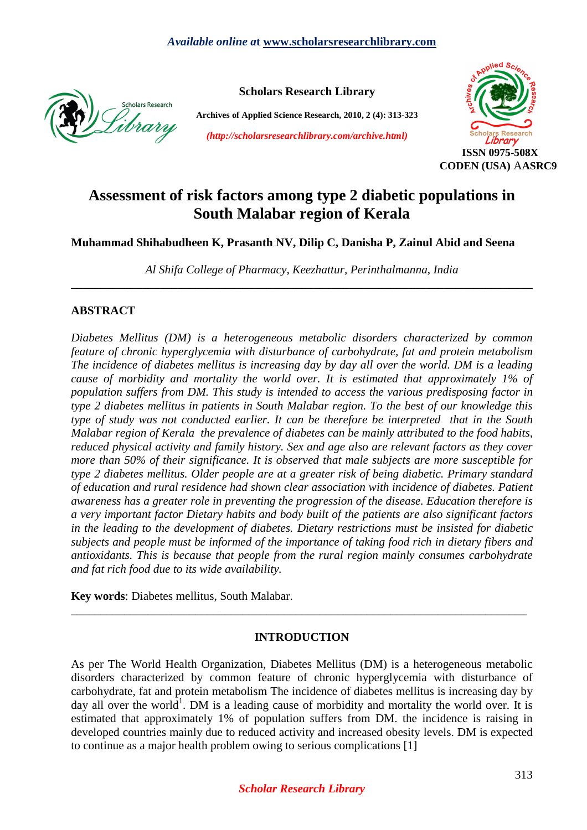

**Scholars Research Library** 

**Archives of Applied Science Research, 2010, 2 (4): 313-323** 

*(http://scholarsresearchlibrary.com/archive.html)* 



# **Assessment of risk factors among type 2 diabetic populations in South Malabar region of Kerala**

**Muhammad Shihabudheen K, Prasanth NV, Dilip C, Danisha P, Zainul Abid and Seena** 

*Al Shifa College of Pharmacy, Keezhattur, Perinthalmanna, India*  **\_\_\_\_\_\_\_\_\_\_\_\_\_\_\_\_\_\_\_\_\_\_\_\_\_\_\_\_\_\_\_\_\_\_\_\_\_\_\_\_\_\_\_\_\_\_\_\_\_\_\_\_\_\_\_\_\_\_\_\_\_\_\_\_\_\_\_\_\_\_\_\_\_\_\_\_\_\_** 

# **ABSTRACT**

*Diabetes Mellitus (DM) is a heterogeneous metabolic disorders characterized by common feature of chronic hyperglycemia with disturbance of carbohydrate, fat and protein metabolism The incidence of diabetes mellitus is increasing day by day all over the world. DM is a leading cause of morbidity and mortality the world over. It is estimated that approximately 1% of population suffers from DM. This study is intended to access the various predisposing factor in type 2 diabetes mellitus in patients in South Malabar region. To the best of our knowledge this type of study was not conducted earlier. It can be therefore be interpreted that in the South Malabar region of Kerala the prevalence of diabetes can be mainly attributed to the food habits, reduced physical activity and family history. Sex and age also are relevant factors as they cover more than 50% of their significance. It is observed that male subjects are more susceptible for type 2 diabetes mellitus. Older people are at a greater risk of being diabetic. Primary standard of education and rural residence had shown clear association with incidence of diabetes. Patient awareness has a greater role in preventing the progression of the disease. Education therefore is a very important factor Dietary habits and body built of the patients are also significant factors in the leading to the development of diabetes. Dietary restrictions must be insisted for diabetic subjects and people must be informed of the importance of taking food rich in dietary fibers and antioxidants. This is because that people from the rural region mainly consumes carbohydrate and fat rich food due to its wide availability.* 

**Key words**: Diabetes mellitus, South Malabar.

# **INTRODUCTION**

\_\_\_\_\_\_\_\_\_\_\_\_\_\_\_\_\_\_\_\_\_\_\_\_\_\_\_\_\_\_\_\_\_\_\_\_\_\_\_\_\_\_\_\_\_\_\_\_\_\_\_\_\_\_\_\_\_\_\_\_\_\_\_\_\_\_\_\_\_\_\_\_\_\_\_\_\_

As per The World Health Organization, Diabetes Mellitus (DM) is a heterogeneous metabolic disorders characterized by common feature of chronic hyperglycemia with disturbance of carbohydrate, fat and protein metabolism The incidence of diabetes mellitus is increasing day by day all over the world<sup>1</sup>. DM is a leading cause of morbidity and mortality the world over. It is estimated that approximately 1% of population suffers from DM. the incidence is raising in developed countries mainly due to reduced activity and increased obesity levels. DM is expected to continue as a major health problem owing to serious complications [1]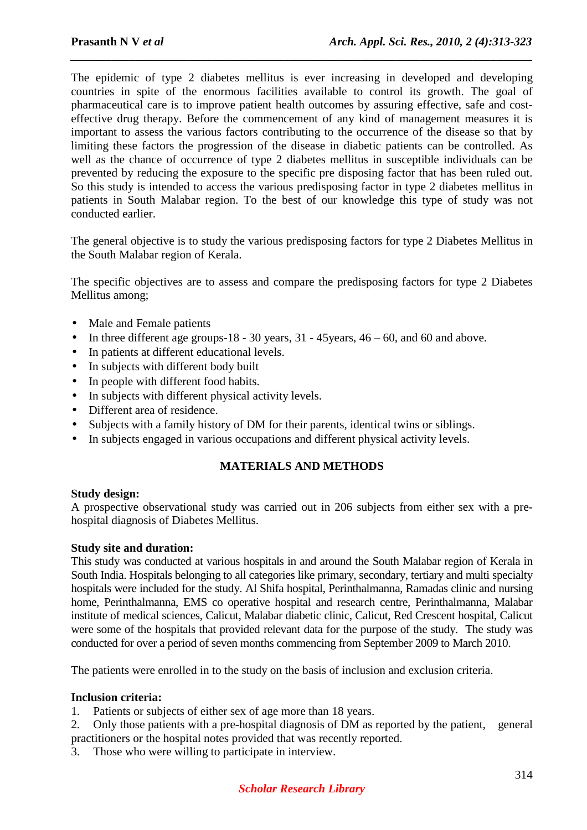The epidemic of type 2 diabetes mellitus is ever increasing in developed and developing countries in spite of the enormous facilities available to control its growth. The goal of pharmaceutical care is to improve patient health outcomes by assuring effective, safe and costeffective drug therapy. Before the commencement of any kind of management measures it is important to assess the various factors contributing to the occurrence of the disease so that by limiting these factors the progression of the disease in diabetic patients can be controlled. As well as the chance of occurrence of type 2 diabetes mellitus in susceptible individuals can be prevented by reducing the exposure to the specific pre disposing factor that has been ruled out. So this study is intended to access the various predisposing factor in type 2 diabetes mellitus in patients in South Malabar region. To the best of our knowledge this type of study was not conducted earlier.

*\_\_\_\_\_\_\_\_\_\_\_\_\_\_\_\_\_\_\_\_\_\_\_\_\_\_\_\_\_\_\_\_\_\_\_\_\_\_\_\_\_\_\_\_\_\_\_\_\_\_\_\_\_\_\_\_\_\_\_\_\_\_\_\_\_\_\_\_\_\_\_\_\_\_\_\_\_\_*

The general objective is to study the various predisposing factors for type 2 Diabetes Mellitus in the South Malabar region of Kerala.

The specific objectives are to assess and compare the predisposing factors for type 2 Diabetes Mellitus among;

- Male and Female patients
- In three different age groups-18 30 years,  $31 45$  years,  $46 60$ , and  $60$  and above.
- In patients at different educational levels.
- In subjects with different body built
- In people with different food habits.
- In subjects with different physical activity levels.
- Different area of residence.
- Subjects with a family history of DM for their parents, identical twins or siblings.
- In subjects engaged in various occupations and different physical activity levels.

# **MATERIALS AND METHODS**

## **Study design:**

A prospective observational study was carried out in 206 subjects from either sex with a prehospital diagnosis of Diabetes Mellitus.

## **Study site and duration:**

This study was conducted at various hospitals in and around the South Malabar region of Kerala in South India. Hospitals belonging to all categories like primary, secondary, tertiary and multi specialty hospitals were included for the study. Al Shifa hospital, Perinthalmanna, Ramadas clinic and nursing home, Perinthalmanna, EMS co operative hospital and research centre, Perinthalmanna, Malabar institute of medical sciences, Calicut, Malabar diabetic clinic, Calicut, Red Crescent hospital, Calicut were some of the hospitals that provided relevant data for the purpose of the study. The study was conducted for over a period of seven months commencing from September 2009 to March 2010.

The patients were enrolled in to the study on the basis of inclusion and exclusion criteria.

# **Inclusion criteria:**

- 1. Patients or subjects of either sex of age more than 18 years.
- 2. Only those patients with a pre-hospital diagnosis of DM as reported by the patient, general practitioners or the hospital notes provided that was recently reported.
- 3. Those who were willing to participate in interview.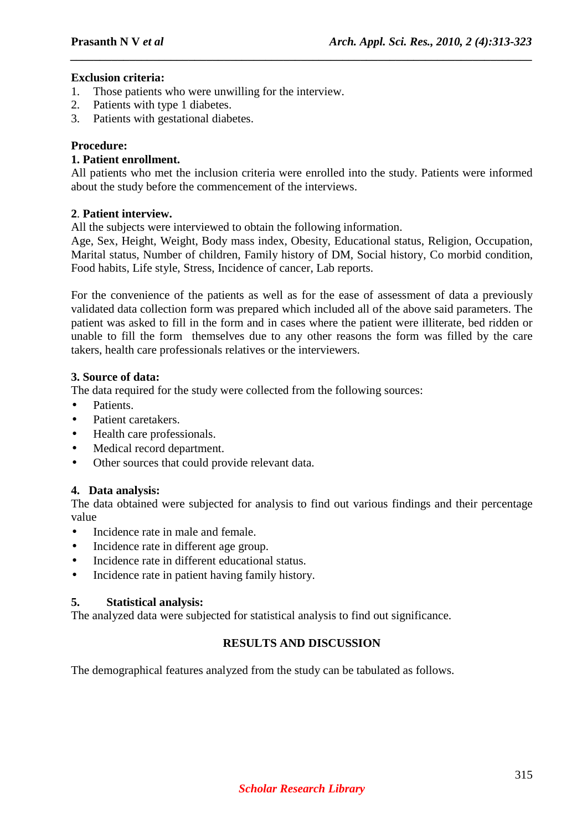# **Exclusion criteria:**

- 1. Those patients who were unwilling for the interview.
- 2. Patients with type 1 diabetes.
- 3. Patients with gestational diabetes.

# **Procedure:**

# **1. Patient enrollment.**

All patients who met the inclusion criteria were enrolled into the study. Patients were informed about the study before the commencement of the interviews.

*\_\_\_\_\_\_\_\_\_\_\_\_\_\_\_\_\_\_\_\_\_\_\_\_\_\_\_\_\_\_\_\_\_\_\_\_\_\_\_\_\_\_\_\_\_\_\_\_\_\_\_\_\_\_\_\_\_\_\_\_\_\_\_\_\_\_\_\_\_\_\_\_\_\_\_\_\_\_*

# **2**. **Patient interview.**

All the subjects were interviewed to obtain the following information.

Age, Sex, Height, Weight, Body mass index, Obesity, Educational status, Religion, Occupation, Marital status, Number of children, Family history of DM, Social history, Co morbid condition, Food habits, Life style, Stress, Incidence of cancer, Lab reports.

For the convenience of the patients as well as for the ease of assessment of data a previously validated data collection form was prepared which included all of the above said parameters. The patient was asked to fill in the form and in cases where the patient were illiterate, bed ridden or unable to fill the form themselves due to any other reasons the form was filled by the care takers, health care professionals relatives or the interviewers.

# **3. Source of data:**

The data required for the study were collected from the following sources:

- Patients.
- Patient caretakers.
- Health care professionals.
- Medical record department.
- Other sources that could provide relevant data.

# **4. Data analysis:**

The data obtained were subjected for analysis to find out various findings and their percentage value

- Incidence rate in male and female.
- Incidence rate in different age group.
- Incidence rate in different educational status.
- Incidence rate in patient having family history.

## **5. Statistical analysis:**

The analyzed data were subjected for statistical analysis to find out significance.

# **RESULTS AND DISCUSSION**

The demographical features analyzed from the study can be tabulated as follows.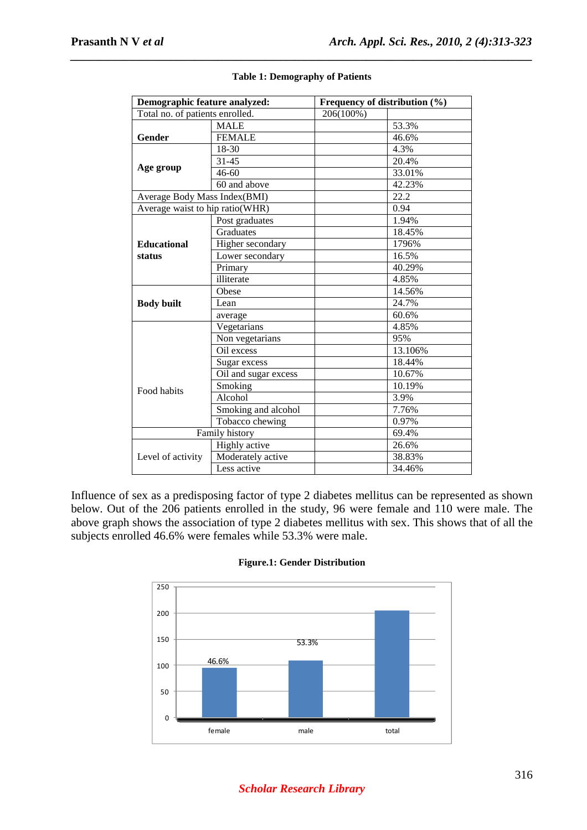| Demographic feature analyzed:   |                      | Frequency of distribution (%) |         |
|---------------------------------|----------------------|-------------------------------|---------|
| Total no. of patients enrolled. |                      | 206(100%)                     |         |
|                                 | <b>MALE</b>          |                               | 53.3%   |
| Gender                          | <b>FEMALE</b>        |                               | 46.6%   |
|                                 | 18-30                |                               | 4.3%    |
|                                 | 31-45                |                               | 20.4%   |
| Age group                       | $46 - 60$            |                               | 33.01%  |
|                                 | 60 and above         |                               | 42.23%  |
| Average Body Mass Index(BMI)    |                      |                               | 22.2    |
| Average waist to hip ratio(WHR) |                      |                               | 0.94    |
|                                 | Post graduates       |                               | 1.94%   |
|                                 | Graduates            |                               | 18.45%  |
| <b>Educational</b><br>status    | Higher secondary     |                               | 1796%   |
|                                 | Lower secondary      |                               | 16.5%   |
|                                 | Primary              |                               | 40.29%  |
|                                 | illiterate           |                               | 4.85%   |
|                                 | Obese                |                               | 14.56%  |
| <b>Body built</b>               | Lean                 |                               | 24.7%   |
|                                 | average              |                               | 60.6%   |
|                                 | Vegetarians          |                               | 4.85%   |
|                                 | Non vegetarians      |                               | 95%     |
|                                 | Oil excess           |                               | 13.106% |
|                                 | Sugar excess         |                               | 18.44%  |
|                                 | Oil and sugar excess |                               | 10.67%  |
| Food habits                     | Smoking              |                               | 10.19%  |
|                                 | Alcohol              |                               | 3.9%    |
|                                 | Smoking and alcohol  |                               | 7.76%   |
|                                 | Tobacco chewing      |                               | 0.97%   |
| Family history                  |                      |                               | 69.4%   |
|                                 | Highly active        |                               | 26.6%   |
| Level of activity               | Moderately active    |                               | 38.83%  |
|                                 | Less active          |                               | 34.46%  |

#### **Table 1: Demography of Patients**

*\_\_\_\_\_\_\_\_\_\_\_\_\_\_\_\_\_\_\_\_\_\_\_\_\_\_\_\_\_\_\_\_\_\_\_\_\_\_\_\_\_\_\_\_\_\_\_\_\_\_\_\_\_\_\_\_\_\_\_\_\_\_\_\_\_\_\_\_\_\_\_\_\_\_\_\_\_\_*

Influence of sex as a predisposing factor of type 2 diabetes mellitus can be represented as shown below. Out of the 206 patients enrolled in the study, 96 were female and 110 were male. The above graph shows the association of type 2 diabetes mellitus with sex. This shows that of all the subjects enrolled 46.6% were females while 53.3% were male.



#### **Figure.1: Gender Distribution**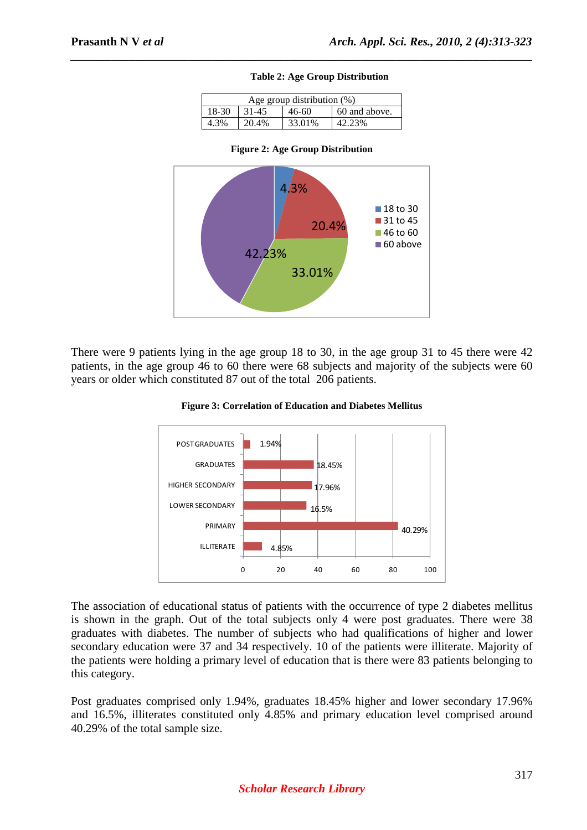#### **Table 2: Age Group Distribution**

| Age group distribution (%) |       |        |               |  |
|----------------------------|-------|--------|---------------|--|
| 18-30                      | 31-45 | 46-60  | 60 and above. |  |
|                            | 20.4% | 33.01% | 42.23%        |  |

*\_\_\_\_\_\_\_\_\_\_\_\_\_\_\_\_\_\_\_\_\_\_\_\_\_\_\_\_\_\_\_\_\_\_\_\_\_\_\_\_\_\_\_\_\_\_\_\_\_\_\_\_\_\_\_\_\_\_\_\_\_\_\_\_\_\_\_\_\_\_\_\_\_\_\_\_\_\_*





There were 9 patients lying in the age group 18 to 30, in the age group 31 to 45 there were 42 patients, in the age group 46 to 60 there were 68 subjects and majority of the subjects were 60 years or older which constituted 87 out of the total 206 patients.



**Figure 3: Correlation of Education and Diabetes Mellitus** 

The association of educational status of patients with the occurrence of type 2 diabetes mellitus is shown in the graph. Out of the total subjects only 4 were post graduates. There were 38 graduates with diabetes. The number of subjects who had qualifications of higher and lower secondary education were 37 and 34 respectively. 10 of the patients were illiterate. Majority of the patients were holding a primary level of education that is there were 83 patients belonging to this category.

Post graduates comprised only 1.94%, graduates 18.45% higher and lower secondary 17.96% and 16.5%, illiterates constituted only 4.85% and primary education level comprised around 40.29% of the total sample size.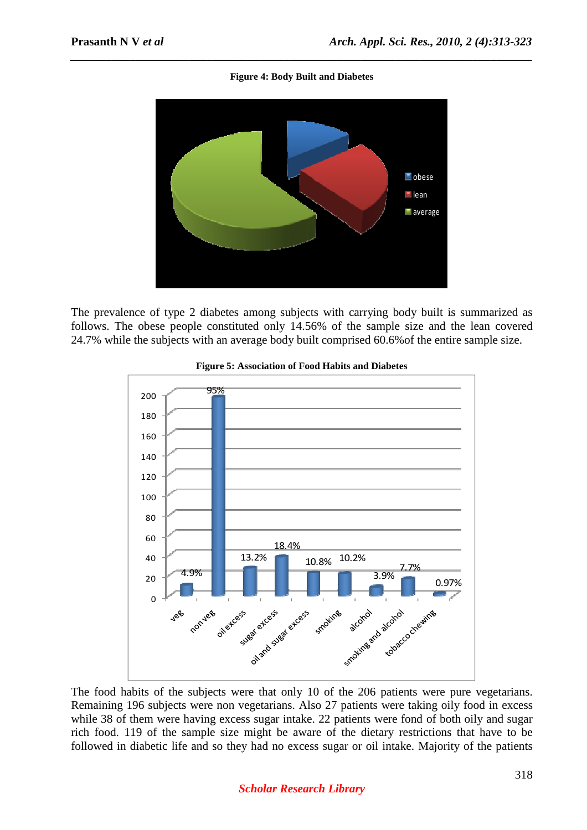#### **Figure 4: Body Built and Diabetes**

*\_\_\_\_\_\_\_\_\_\_\_\_\_\_\_\_\_\_\_\_\_\_\_\_\_\_\_\_\_\_\_\_\_\_\_\_\_\_\_\_\_\_\_\_\_\_\_\_\_\_\_\_\_\_\_\_\_\_\_\_\_\_\_\_\_\_\_\_\_\_\_\_\_\_\_\_\_\_*



The prevalence of type 2 diabetes among subjects with carrying body built is summarized as follows. The obese people constituted only 14.56% of the sample size and the lean covered 24.7% while the subjects with an average body built comprised 60.6%of the entire sample size.





The food habits of the subjects were that only 10 of the 206 patients were pure vegetarians. Remaining 196 subjects were non vegetarians. Also 27 patients were taking oily food in excess while 38 of them were having excess sugar intake. 22 patients were fond of both oily and sugar rich food. 119 of the sample size might be aware of the dietary restrictions that have to be followed in diabetic life and so they had no excess sugar or oil intake. Majority of the patients

# *Scholar Research Library*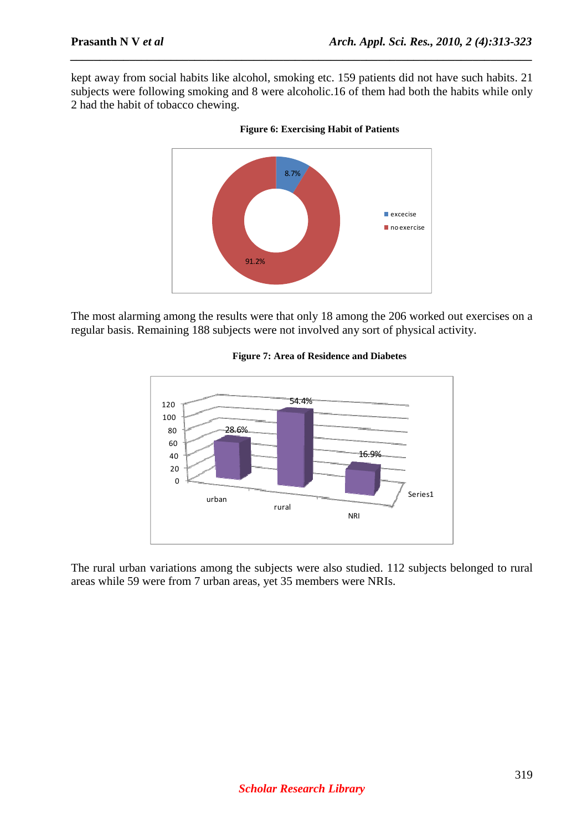kept away from social habits like alcohol, smoking etc. 159 patients did not have such habits. 21 subjects were following smoking and 8 were alcoholic.16 of them had both the habits while only 2 had the habit of tobacco chewing.

*\_\_\_\_\_\_\_\_\_\_\_\_\_\_\_\_\_\_\_\_\_\_\_\_\_\_\_\_\_\_\_\_\_\_\_\_\_\_\_\_\_\_\_\_\_\_\_\_\_\_\_\_\_\_\_\_\_\_\_\_\_\_\_\_\_\_\_\_\_\_\_\_\_\_\_\_\_\_*





The most alarming among the results were that only 18 among the 206 worked out exercises on a regular basis. Remaining 188 subjects were not involved any sort of physical activity.



#### **Figure 7: Area of Residence and Diabetes**

The rural urban variations among the subjects were also studied. 112 subjects belonged to rural areas while 59 were from 7 urban areas, yet 35 members were NRIs.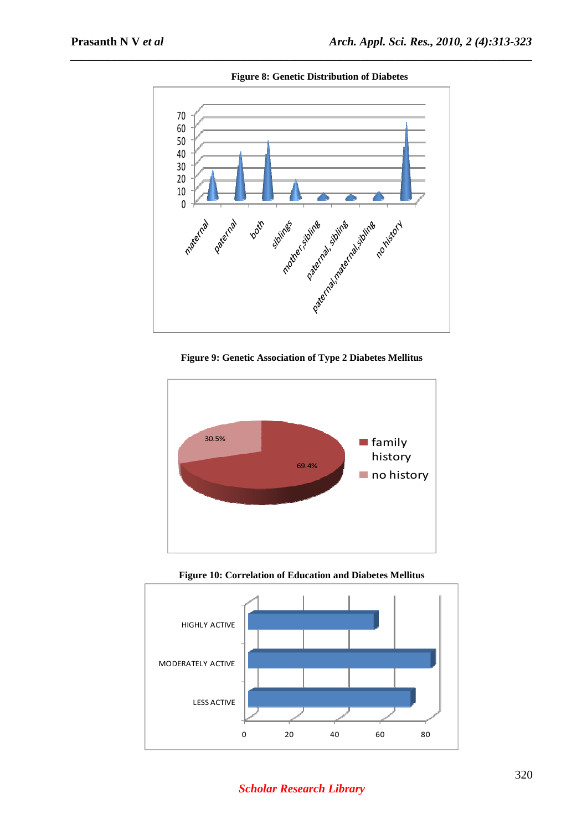

**Figure 8: Genetic Distribution of Diabetes** 

*\_\_\_\_\_\_\_\_\_\_\_\_\_\_\_\_\_\_\_\_\_\_\_\_\_\_\_\_\_\_\_\_\_\_\_\_\_\_\_\_\_\_\_\_\_\_\_\_\_\_\_\_\_\_\_\_\_\_\_\_\_\_\_\_\_\_\_\_\_\_\_\_\_\_\_\_\_\_*

**Figure 9: Genetic Association of Type 2 Diabetes Mellitus** 





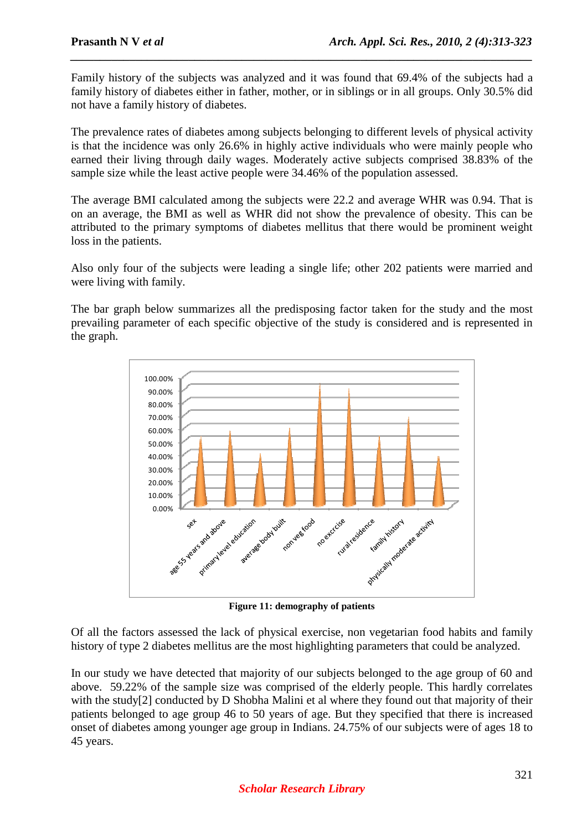Family history of the subjects was analyzed and it was found that 69.4% of the subjects had a family history of diabetes either in father, mother, or in siblings or in all groups. Only 30.5% did not have a family history of diabetes.

*\_\_\_\_\_\_\_\_\_\_\_\_\_\_\_\_\_\_\_\_\_\_\_\_\_\_\_\_\_\_\_\_\_\_\_\_\_\_\_\_\_\_\_\_\_\_\_\_\_\_\_\_\_\_\_\_\_\_\_\_\_\_\_\_\_\_\_\_\_\_\_\_\_\_\_\_\_\_*

The prevalence rates of diabetes among subjects belonging to different levels of physical activity is that the incidence was only 26.6% in highly active individuals who were mainly people who earned their living through daily wages. Moderately active subjects comprised 38.83% of the sample size while the least active people were 34.46% of the population assessed.

The average BMI calculated among the subjects were 22.2 and average WHR was 0.94. That is on an average, the BMI as well as WHR did not show the prevalence of obesity. This can be attributed to the primary symptoms of diabetes mellitus that there would be prominent weight loss in the patients.

Also only four of the subjects were leading a single life; other 202 patients were married and were living with family.

The bar graph below summarizes all the predisposing factor taken for the study and the most prevailing parameter of each specific objective of the study is considered and is represented in the graph.



**Figure 11: demography of patients** 

Of all the factors assessed the lack of physical exercise, non vegetarian food habits and family history of type 2 diabetes mellitus are the most highlighting parameters that could be analyzed.

In our study we have detected that majority of our subjects belonged to the age group of 60 and above. 59.22% of the sample size was comprised of the elderly people. This hardly correlates with the study<sup>[2]</sup> conducted by D Shobha Malini et al where they found out that majority of their patients belonged to age group 46 to 50 years of age. But they specified that there is increased onset of diabetes among younger age group in Indians. 24.75% of our subjects were of ages 18 to 45 years.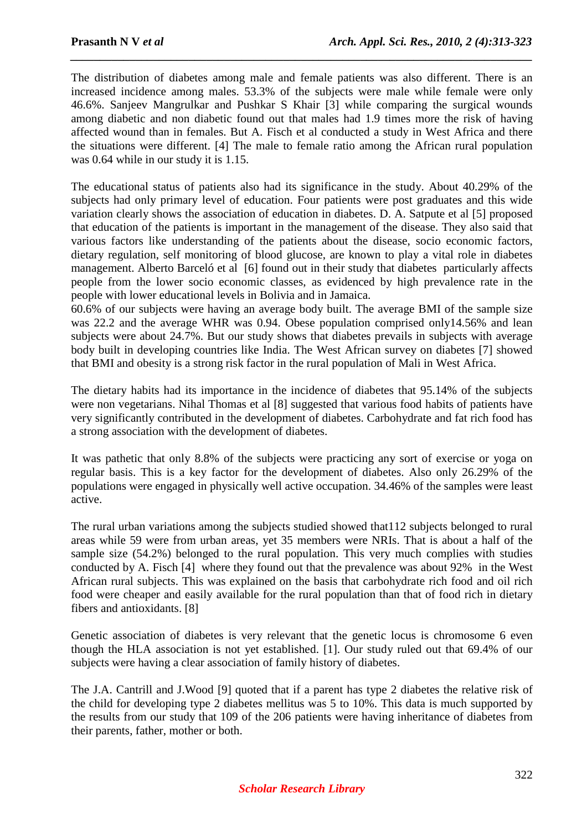The distribution of diabetes among male and female patients was also different. There is an increased incidence among males. 53.3% of the subjects were male while female were only 46.6%. Sanjeev Mangrulkar and Pushkar S Khair [3] while comparing the surgical wounds among diabetic and non diabetic found out that males had 1.9 times more the risk of having affected wound than in females. But A. Fisch et al conducted a study in West Africa and there the situations were different. [4] The male to female ratio among the African rural population was 0.64 while in our study it is 1.15.

*\_\_\_\_\_\_\_\_\_\_\_\_\_\_\_\_\_\_\_\_\_\_\_\_\_\_\_\_\_\_\_\_\_\_\_\_\_\_\_\_\_\_\_\_\_\_\_\_\_\_\_\_\_\_\_\_\_\_\_\_\_\_\_\_\_\_\_\_\_\_\_\_\_\_\_\_\_\_*

The educational status of patients also had its significance in the study. About 40.29% of the subjects had only primary level of education. Four patients were post graduates and this wide variation clearly shows the association of education in diabetes. D. A. Satpute et al [5] proposed that education of the patients is important in the management of the disease. They also said that various factors like understanding of the patients about the disease, socio economic factors, dietary regulation, self monitoring of blood glucose, are known to play a vital role in diabetes management. Alberto Barceló et al [6] found out in their study that diabetes particularly affects people from the lower socio economic classes, as evidenced by high prevalence rate in the people with lower educational levels in Bolivia and in Jamaica.

60.6% of our subjects were having an average body built. The average BMI of the sample size was 22.2 and the average WHR was 0.94. Obese population comprised only14.56% and lean subjects were about 24.7%. But our study shows that diabetes prevails in subjects with average body built in developing countries like India. The West African survey on diabetes [7] showed that BMI and obesity is a strong risk factor in the rural population of Mali in West Africa.

The dietary habits had its importance in the incidence of diabetes that 95.14% of the subjects were non vegetarians. Nihal Thomas et al [8] suggested that various food habits of patients have very significantly contributed in the development of diabetes. Carbohydrate and fat rich food has a strong association with the development of diabetes.

It was pathetic that only 8.8% of the subjects were practicing any sort of exercise or yoga on regular basis. This is a key factor for the development of diabetes. Also only 26.29% of the populations were engaged in physically well active occupation. 34.46% of the samples were least active.

The rural urban variations among the subjects studied showed that112 subjects belonged to rural areas while 59 were from urban areas, yet 35 members were NRIs. That is about a half of the sample size (54.2%) belonged to the rural population. This very much complies with studies conducted by A. Fisch [4] where they found out that the prevalence was about 92% in the West African rural subjects. This was explained on the basis that carbohydrate rich food and oil rich food were cheaper and easily available for the rural population than that of food rich in dietary fibers and antioxidants. [8]

Genetic association of diabetes is very relevant that the genetic locus is chromosome 6 even though the HLA association is not yet established. [1]. Our study ruled out that 69.4% of our subjects were having a clear association of family history of diabetes.

The J.A. Cantrill and J.Wood [9] quoted that if a parent has type 2 diabetes the relative risk of the child for developing type 2 diabetes mellitus was 5 to 10%. This data is much supported by the results from our study that 109 of the 206 patients were having inheritance of diabetes from their parents, father, mother or both.